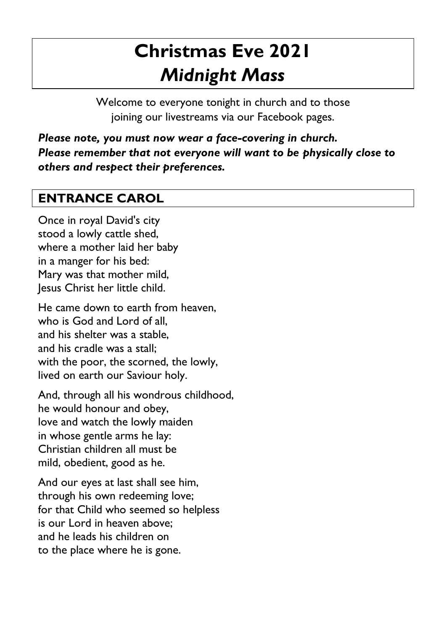# **Christmas Eve 2021** *Midnight Mass*

Welcome to everyone tonight in church and to those joining our livestreams via our Facebook pages.

*Please note, you must now wear a face-covering in church. Please remember that not everyone will want to be physically close to others and respect their preferences.*

## **ENTRANCE CAROL**

Once in royal David's city stood a lowly cattle shed, where a mother laid her baby in a manger for his bed: Mary was that mother mild, Jesus Christ her little child.

He came down to earth from heaven, who is God and Lord of all, and his shelter was a stable, and his cradle was a stall; with the poor, the scorned, the lowly, lived on earth our Saviour holy.

And, through all his wondrous childhood, he would honour and obey, love and watch the lowly maiden in whose gentle arms he lay: Christian children all must be mild, obedient, good as he.

And our eyes at last shall see him, through his own redeeming love; for that Child who seemed so helpless is our Lord in heaven above; and he leads his children on to the place where he is gone.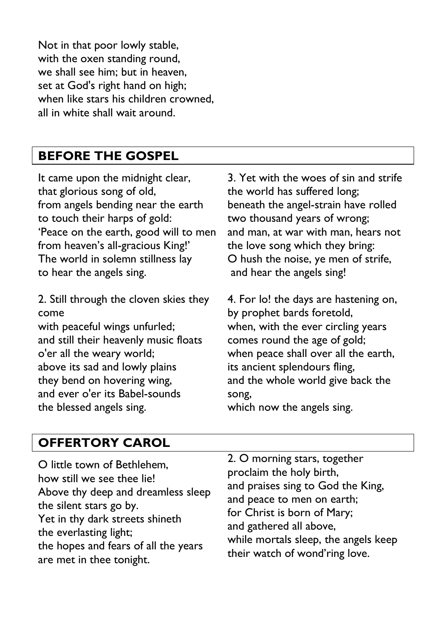Not in that poor lowly stable, with the oxen standing round, we shall see him; but in heaven, set at God's right hand on high; when like stars his children crowned, all in white shall wait around.

## **BEFORE THE GOSPEL**

It came upon the midnight clear, that glorious song of old, from angels bending near the earth to touch their harps of gold: 'Peace on the earth, good will to men from heaven's all-gracious King!' The world in solemn stillness lay to hear the angels sing.

2. Still through the cloven skies they come with peaceful wings unfurled; and still their heavenly music floats o'er all the weary world; above its sad and lowly plains they bend on hovering wing, and ever o'er its Babel-sounds

3. Yet with the woes of sin and strife the world has suffered long; beneath the angel-strain have rolled two thousand years of wrong; and man, at war with man, hears not the love song which they bring: O hush the noise, ye men of strife, and hear the angels sing!

4. For lo! the days are hastening on, by prophet bards foretold, when, with the ever circling years comes round the age of gold; when peace shall over all the earth, its ancient splendours fling, and the whole world give back the song,

which now the angels sing.

### **OFFERTORY CAROL**

the blessed angels sing.

| O little town of Bethlehem,          | 2. O morning stars, together         |
|--------------------------------------|--------------------------------------|
| how still we see thee lie!           | proclaim the holy birth,             |
| Above thy deep and dreamless sleep   | and praises sing to God the King,    |
| the silent stars go by.              | and peace to men on earth;           |
| Yet in thy dark streets shineth      | for Christ is born of Mary;          |
| the everlasting light;               | and gathered all above,              |
| the hopes and fears of all the years | while mortals sleep, the angels keep |
| are met in thee tonight.             | their watch of wond'ring love.       |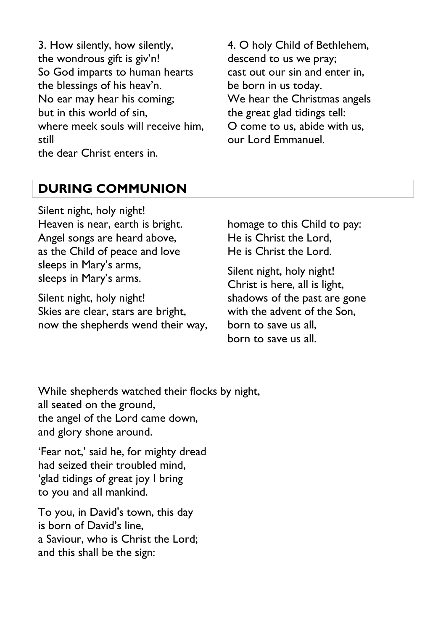3. How silently, how silently, the wondrous gift is giv'n! So God imparts to human hearts the blessings of his heav'n. No ear may hear his coming; but in this world of sin, where meek souls will receive him, still the dear Christ enters in.

4. O holy Child of Bethlehem, descend to us we pray; cast out our sin and enter in, be born in us today. We hear the Christmas angels the great glad tidings tell: O come to us, abide with us, our Lord Emmanuel.

## **DURING COMMUNION**

Silent night, holy night! Heaven is near, earth is bright. Angel songs are heard above, as the Child of peace and love sleeps in Mary's arms, sleeps in Mary's arms.

Silent night, holy night! Skies are clear, stars are bright, now the shepherds wend their way, homage to this Child to pay: He is Christ the Lord, He is Christ the Lord.

Silent night, holy night! Christ is here, all is light, shadows of the past are gone with the advent of the Son, born to save us all, born to save us all.

While shepherds watched their flocks by night, all seated on the ground, the angel of the Lord came down, and glory shone around.

'Fear not,' said he, for mighty dread had seized their troubled mind, 'glad tidings of great joy I bring to you and all mankind.

To you, in David's town, this day is born of David's line, a Saviour, who is Christ the Lord; and this shall be the sign: